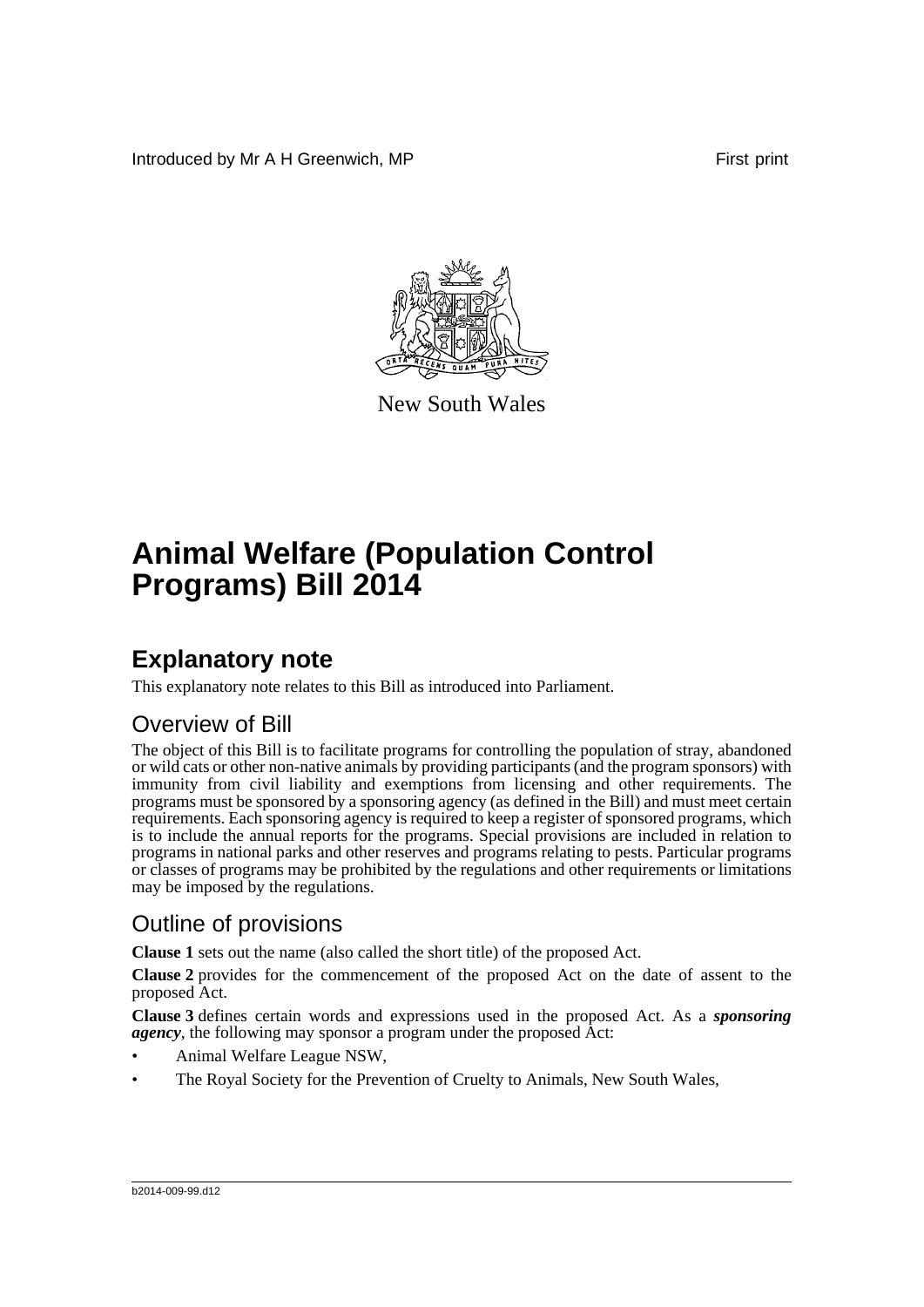Introduced by Mr A H Greenwich, MP **First** print



New South Wales

# **Animal Welfare (Population Control Programs) Bill 2014**

# **Explanatory note**

This explanatory note relates to this Bill as introduced into Parliament.

# Overview of Bill

The object of this Bill is to facilitate programs for controlling the population of stray, abandoned or wild cats or other non-native animals by providing participants (and the program sponsors) with immunity from civil liability and exemptions from licensing and other requirements. The programs must be sponsored by a sponsoring agency (as defined in the Bill) and must meet certain requirements. Each sponsoring agency is required to keep a register of sponsored programs, which is to include the annual reports for the programs. Special provisions are included in relation to programs in national parks and other reserves and programs relating to pests. Particular programs or classes of programs may be prohibited by the regulations and other requirements or limitations may be imposed by the regulations.

# Outline of provisions

**Clause 1** sets out the name (also called the short title) of the proposed Act.

**Clause 2** provides for the commencement of the proposed Act on the date of assent to the proposed Act.

**Clause 3** defines certain words and expressions used in the proposed Act. As a *sponsoring agency*, the following may sponsor a program under the proposed Act:

- Animal Welfare League NSW,
- The Royal Society for the Prevention of Cruelty to Animals, New South Wales,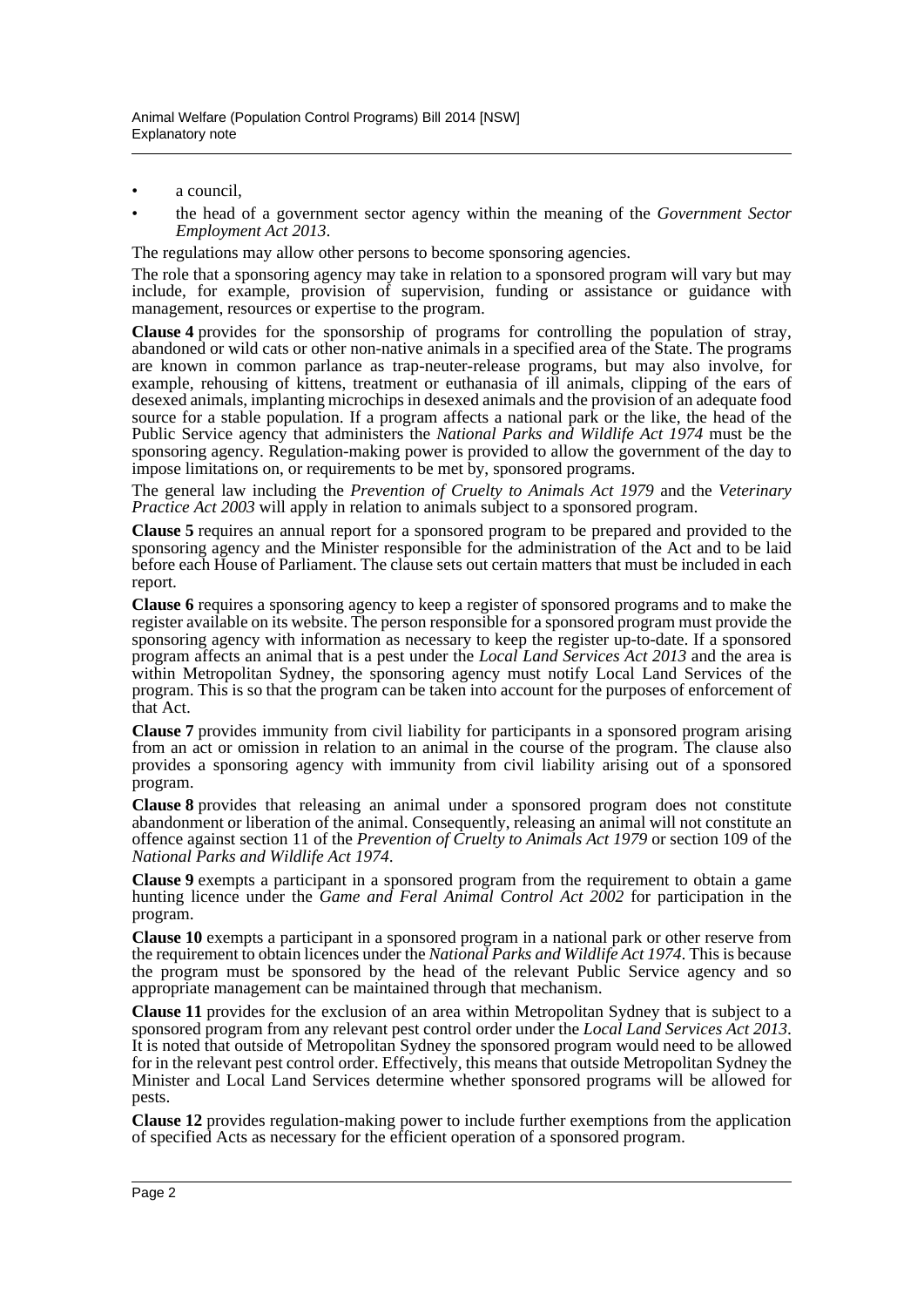- a council,
- the head of a government sector agency within the meaning of the *Government Sector Employment Act 2013*.

The regulations may allow other persons to become sponsoring agencies.

The role that a sponsoring agency may take in relation to a sponsored program will vary but may include, for example, provision of supervision, funding or assistance or guidance with management, resources or expertise to the program.

**Clause 4** provides for the sponsorship of programs for controlling the population of stray, abandoned or wild cats or other non-native animals in a specified area of the State. The programs are known in common parlance as trap-neuter-release programs, but may also involve, for example, rehousing of kittens, treatment or euthanasia of ill animals, clipping of the ears of desexed animals, implanting microchips in desexed animals and the provision of an adequate food source for a stable population. If a program affects a national park or the like, the head of the Public Service agency that administers the *National Parks and Wildlife Act 1974* must be the sponsoring agency. Regulation-making power is provided to allow the government of the day to impose limitations on, or requirements to be met by, sponsored programs.

The general law including the *Prevention of Cruelty to Animals Act 1979* and the *Veterinary Practice Act 2003* will apply in relation to animals subject to a sponsored program.

**Clause 5** requires an annual report for a sponsored program to be prepared and provided to the sponsoring agency and the Minister responsible for the administration of the Act and to be laid before each House of Parliament. The clause sets out certain matters that must be included in each report.

**Clause 6** requires a sponsoring agency to keep a register of sponsored programs and to make the register available on its website. The person responsible for a sponsored program must provide the sponsoring agency with information as necessary to keep the register up-to-date. If a sponsored program affects an animal that is a pest under the *Local Land Services Act 2013* and the area is within Metropolitan Sydney, the sponsoring agency must notify Local Land Services of the program. This is so that the program can be taken into account for the purposes of enforcement of that Act.

**Clause 7** provides immunity from civil liability for participants in a sponsored program arising from an act or omission in relation to an animal in the course of the program. The clause also provides a sponsoring agency with immunity from civil liability arising out of a sponsored program.

**Clause 8** provides that releasing an animal under a sponsored program does not constitute abandonment or liberation of the animal. Consequently, releasing an animal will not constitute an offence against section 11 of the *Prevention of Cruelty to Animals Act 1979* or section 109 of the *National Parks and Wildlife Act 1974*.

**Clause 9** exempts a participant in a sponsored program from the requirement to obtain a game hunting licence under the *Game and Feral Animal Control Act 2002* for participation in the program.

**Clause 10** exempts a participant in a sponsored program in a national park or other reserve from the requirement to obtain licences under the *National Parks and Wildlife Act 1974*. This is because the program must be sponsored by the head of the relevant Public Service agency and so appropriate management can be maintained through that mechanism.

**Clause 11** provides for the exclusion of an area within Metropolitan Sydney that is subject to a sponsored program from any relevant pest control order under the *Local Land Services Act 2013*. It is noted that outside of Metropolitan Sydney the sponsored program would need to be allowed for in the relevant pest control order. Effectively, this means that outside Metropolitan Sydney the Minister and Local Land Services determine whether sponsored programs will be allowed for pests.

**Clause 12** provides regulation-making power to include further exemptions from the application of specified Acts as necessary for the efficient operation of a sponsored program.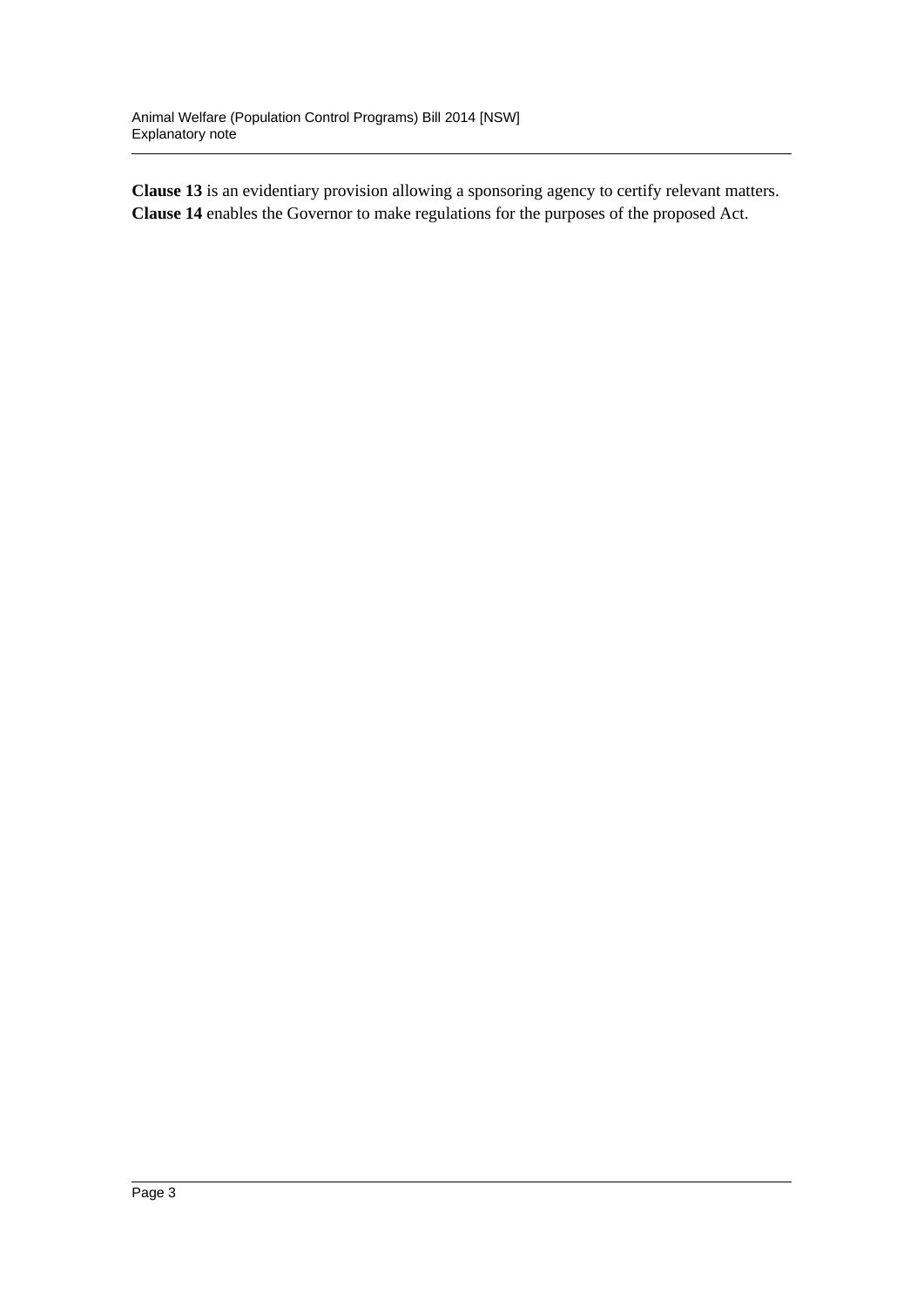**Clause 13** is an evidentiary provision allowing a sponsoring agency to certify relevant matters. **Clause 14** enables the Governor to make regulations for the purposes of the proposed Act.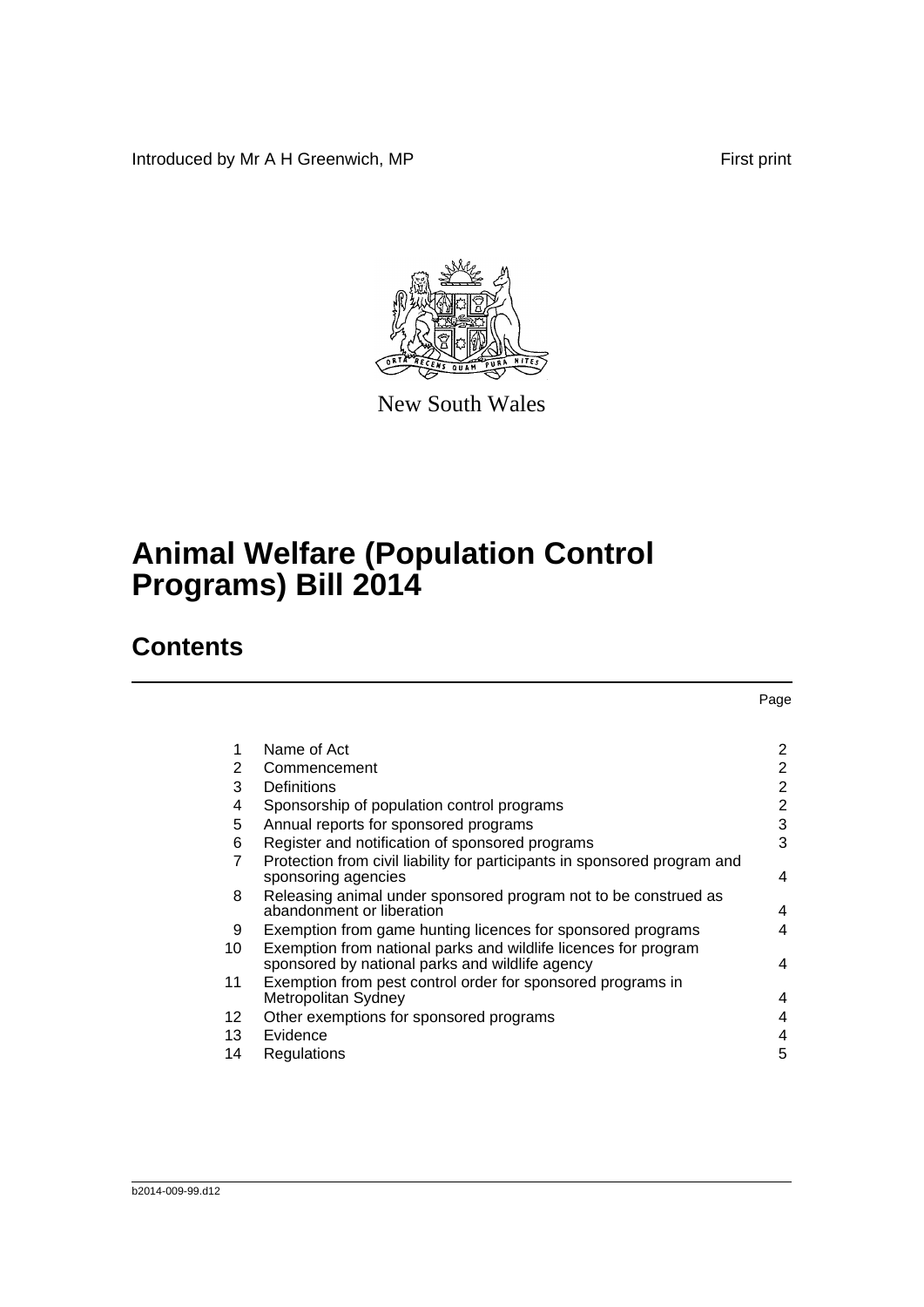Introduced by Mr A H Greenwich, MP First print

Page



New South Wales

# **Animal Welfare (Population Control Programs) Bill 2014**

# **Contents**

|         | Name of Act                                                                                                        | 2              |
|---------|--------------------------------------------------------------------------------------------------------------------|----------------|
| 2       | Commencement                                                                                                       | 2              |
| 3       | Definitions                                                                                                        | $\overline{2}$ |
| 4       | Sponsorship of population control programs                                                                         | $\overline{2}$ |
| 5       | Annual reports for sponsored programs                                                                              | 3              |
| 6       | Register and notification of sponsored programs                                                                    | 3              |
| 7       | Protection from civil liability for participants in sponsored program and<br>sponsoring agencies                   | $\overline{4}$ |
| 8       | Releasing animal under sponsored program not to be construed as<br>abandonment or liberation                       | $\overline{4}$ |
| 9       | Exemption from game hunting licences for sponsored programs                                                        | 4              |
| 10      | Exemption from national parks and wildlife licences for program<br>sponsored by national parks and wildlife agency | 4              |
| 11      | Exemption from pest control order for sponsored programs in<br>Metropolitan Sydney                                 | $\overline{4}$ |
| $12 \,$ | Other exemptions for sponsored programs                                                                            | $\overline{4}$ |
| 13      | Evidence                                                                                                           | 4              |
| 14      | Regulations                                                                                                        | 5              |

### b2014-009-99.d12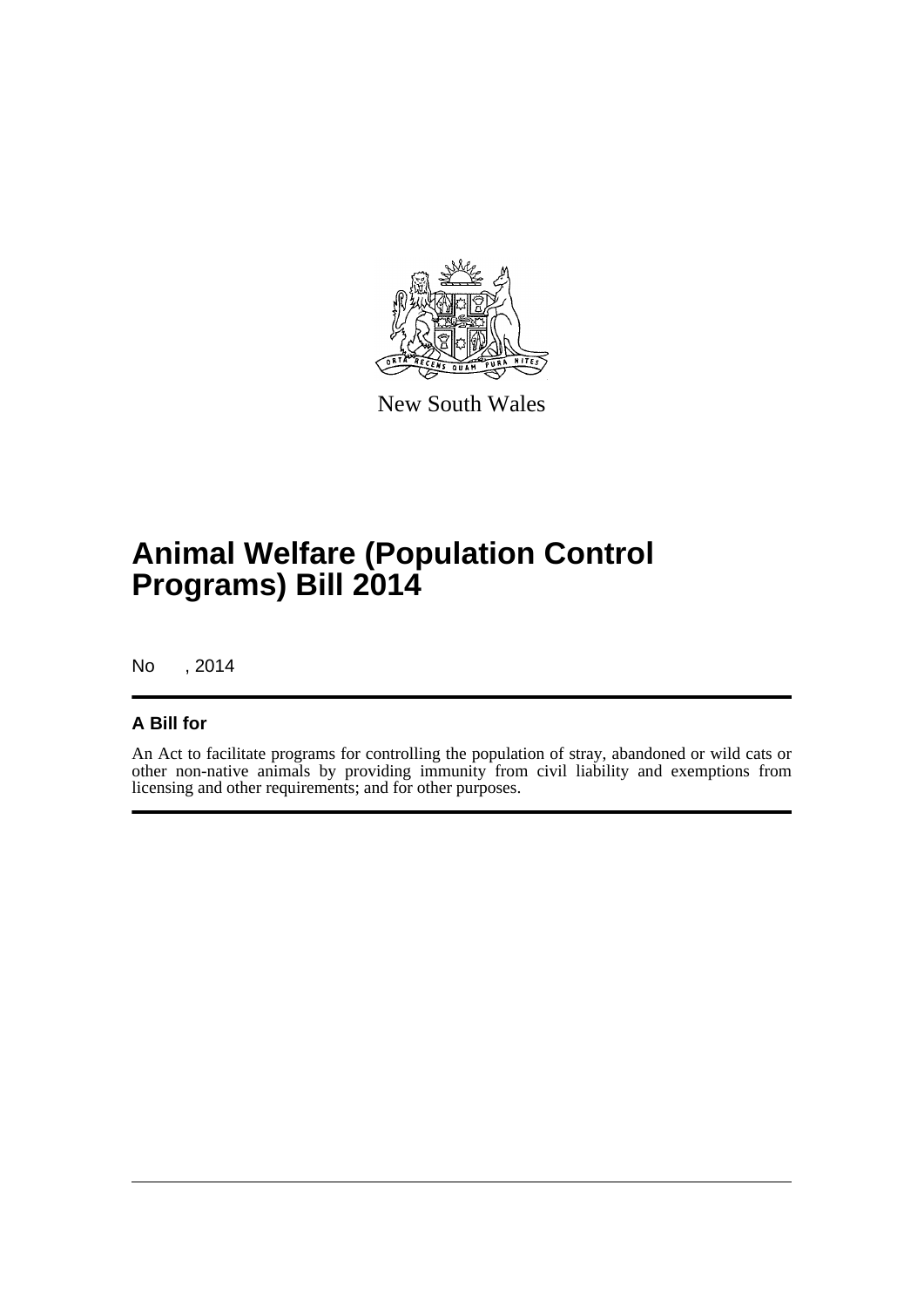

New South Wales

# **Animal Welfare (Population Control Programs) Bill 2014**

No , 2014

## **A Bill for**

An Act to facilitate programs for controlling the population of stray, abandoned or wild cats or other non-native animals by providing immunity from civil liability and exemptions from licensing and other requirements; and for other purposes.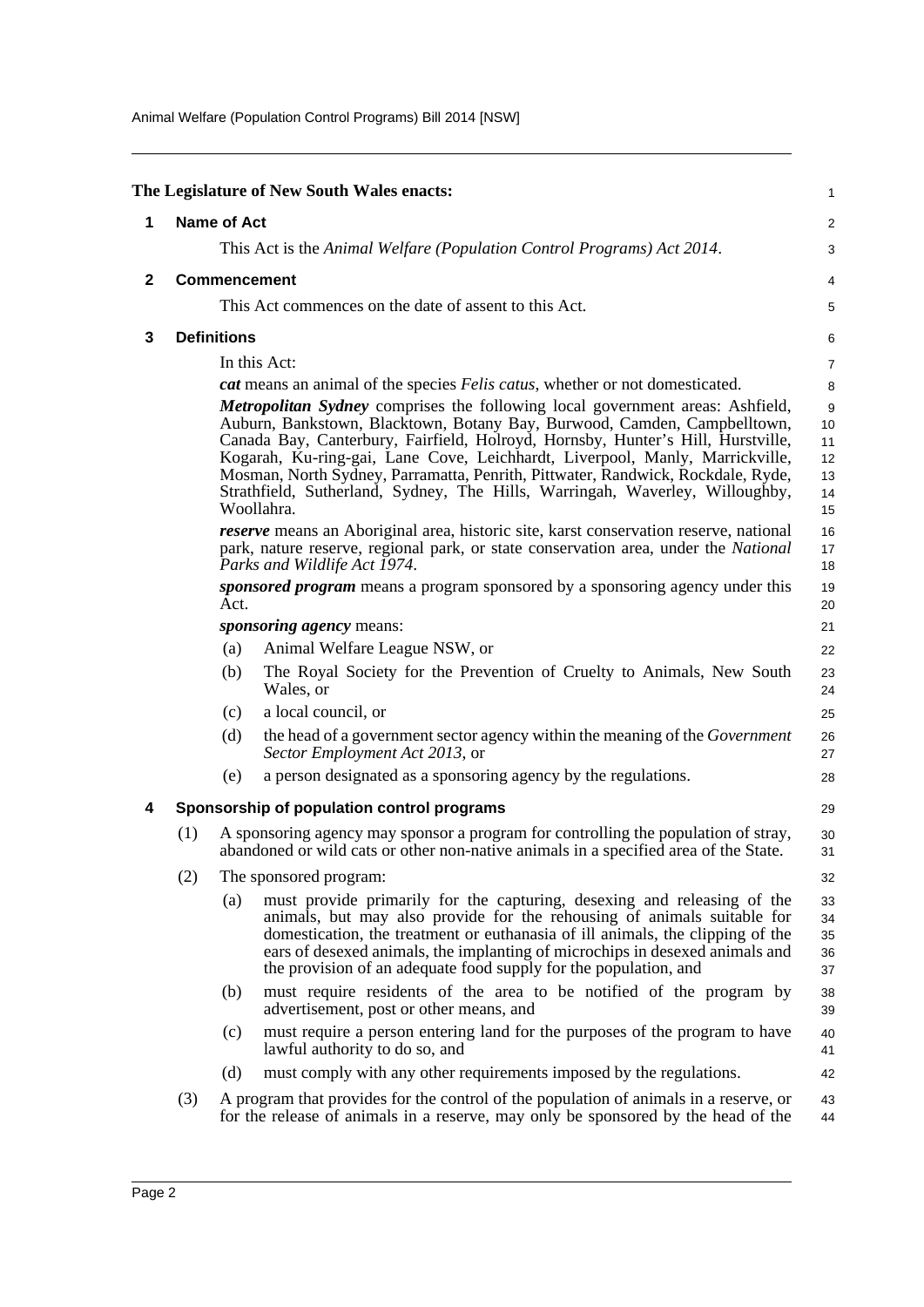Animal Welfare (Population Control Programs) Bill 2014 [NSW]

<span id="page-5-3"></span><span id="page-5-2"></span><span id="page-5-1"></span><span id="page-5-0"></span>

|              |     |                     | The Legislature of New South Wales enacts:                                                                                                                                                                                                                                                                                                                                               | 1                          |
|--------------|-----|---------------------|------------------------------------------------------------------------------------------------------------------------------------------------------------------------------------------------------------------------------------------------------------------------------------------------------------------------------------------------------------------------------------------|----------------------------|
| 1            |     | <b>Name of Act</b>  |                                                                                                                                                                                                                                                                                                                                                                                          | 2                          |
|              |     |                     | This Act is the Animal Welfare (Population Control Programs) Act 2014.                                                                                                                                                                                                                                                                                                                   | 3                          |
| $\mathbf{2}$ |     | <b>Commencement</b> |                                                                                                                                                                                                                                                                                                                                                                                          | 4                          |
|              |     |                     | This Act commences on the date of assent to this Act.                                                                                                                                                                                                                                                                                                                                    | 5                          |
| 3            |     | <b>Definitions</b>  |                                                                                                                                                                                                                                                                                                                                                                                          | 6                          |
|              |     |                     | In this Act:                                                                                                                                                                                                                                                                                                                                                                             | $\overline{7}$             |
|              |     |                     | cat means an animal of the species Felis catus, whether or not domesticated.                                                                                                                                                                                                                                                                                                             | 8                          |
|              |     |                     | Metropolitan Sydney comprises the following local government areas: Ashfield,                                                                                                                                                                                                                                                                                                            | 9                          |
|              |     |                     | Auburn, Bankstown, Blacktown, Botany Bay, Burwood, Camden, Campbelltown,                                                                                                                                                                                                                                                                                                                 | 10                         |
|              |     |                     | Canada Bay, Canterbury, Fairfield, Holroyd, Hornsby, Hunter's Hill, Hurstville,<br>Kogarah, Ku-ring-gai, Lane Cove, Leichhardt, Liverpool, Manly, Marrickville,                                                                                                                                                                                                                          | 11<br>12                   |
|              |     |                     | Mosman, North Sydney, Parramatta, Penrith, Pittwater, Randwick, Rockdale, Ryde,                                                                                                                                                                                                                                                                                                          | 13                         |
|              |     |                     | Strathfield, Sutherland, Sydney, The Hills, Warringah, Waverley, Willoughby,<br>Woollahra.                                                                                                                                                                                                                                                                                               | 14                         |
|              |     |                     | reserve means an Aboriginal area, historic site, karst conservation reserve, national                                                                                                                                                                                                                                                                                                    | 15                         |
|              |     |                     | park, nature reserve, regional park, or state conservation area, under the <i>National</i>                                                                                                                                                                                                                                                                                               | 16<br>17                   |
|              |     |                     | Parks and Wildlife Act 1974.                                                                                                                                                                                                                                                                                                                                                             | 18                         |
|              |     | Act.                | sponsored program means a program sponsored by a sponsoring agency under this                                                                                                                                                                                                                                                                                                            | 19<br>20                   |
|              |     |                     | <i>sponsoring agency</i> means:                                                                                                                                                                                                                                                                                                                                                          | 21                         |
|              |     | (a)                 | Animal Welfare League NSW, or                                                                                                                                                                                                                                                                                                                                                            | 22                         |
|              |     | (b)                 | The Royal Society for the Prevention of Cruelty to Animals, New South<br>Wales, or                                                                                                                                                                                                                                                                                                       | 23<br>24                   |
|              |     | (c)                 | a local council, or                                                                                                                                                                                                                                                                                                                                                                      | 25                         |
|              |     | (d)                 | the head of a government sector agency within the meaning of the <i>Government</i><br>Sector Employment Act 2013, or                                                                                                                                                                                                                                                                     | 26<br>27                   |
|              |     | (e)                 | a person designated as a sponsoring agency by the regulations.                                                                                                                                                                                                                                                                                                                           | 28                         |
| 4            |     |                     | Sponsorship of population control programs                                                                                                                                                                                                                                                                                                                                               | 29                         |
|              | (1) |                     | A sponsoring agency may sponsor a program for controlling the population of stray,<br>abandoned or wild cats or other non-native animals in a specified area of the State.                                                                                                                                                                                                               | 30<br>31                   |
|              | (2) |                     | The sponsored program:                                                                                                                                                                                                                                                                                                                                                                   | 32                         |
|              |     | (a)                 | must provide primarily for the capturing, desexing and releasing of the<br>animals, but may also provide for the rehousing of animals suitable for<br>domestication, the treatment or euthanasia of ill animals, the clipping of the<br>ears of desexed animals, the implanting of microchips in desexed animals and<br>the provision of an adequate food supply for the population, and | 33<br>34<br>35<br>36<br>37 |
|              |     | (b)                 | must require residents of the area to be notified of the program by<br>advertisement, post or other means, and                                                                                                                                                                                                                                                                           | 38<br>39                   |
|              |     | (c)                 | must require a person entering land for the purposes of the program to have<br>lawful authority to do so, and                                                                                                                                                                                                                                                                            | 40<br>41                   |
|              |     | (d)                 | must comply with any other requirements imposed by the regulations.                                                                                                                                                                                                                                                                                                                      | 42                         |
|              | (3) |                     | A program that provides for the control of the population of animals in a reserve, or<br>for the release of animals in a reserve, may only be sponsored by the head of the                                                                                                                                                                                                               | 43<br>44                   |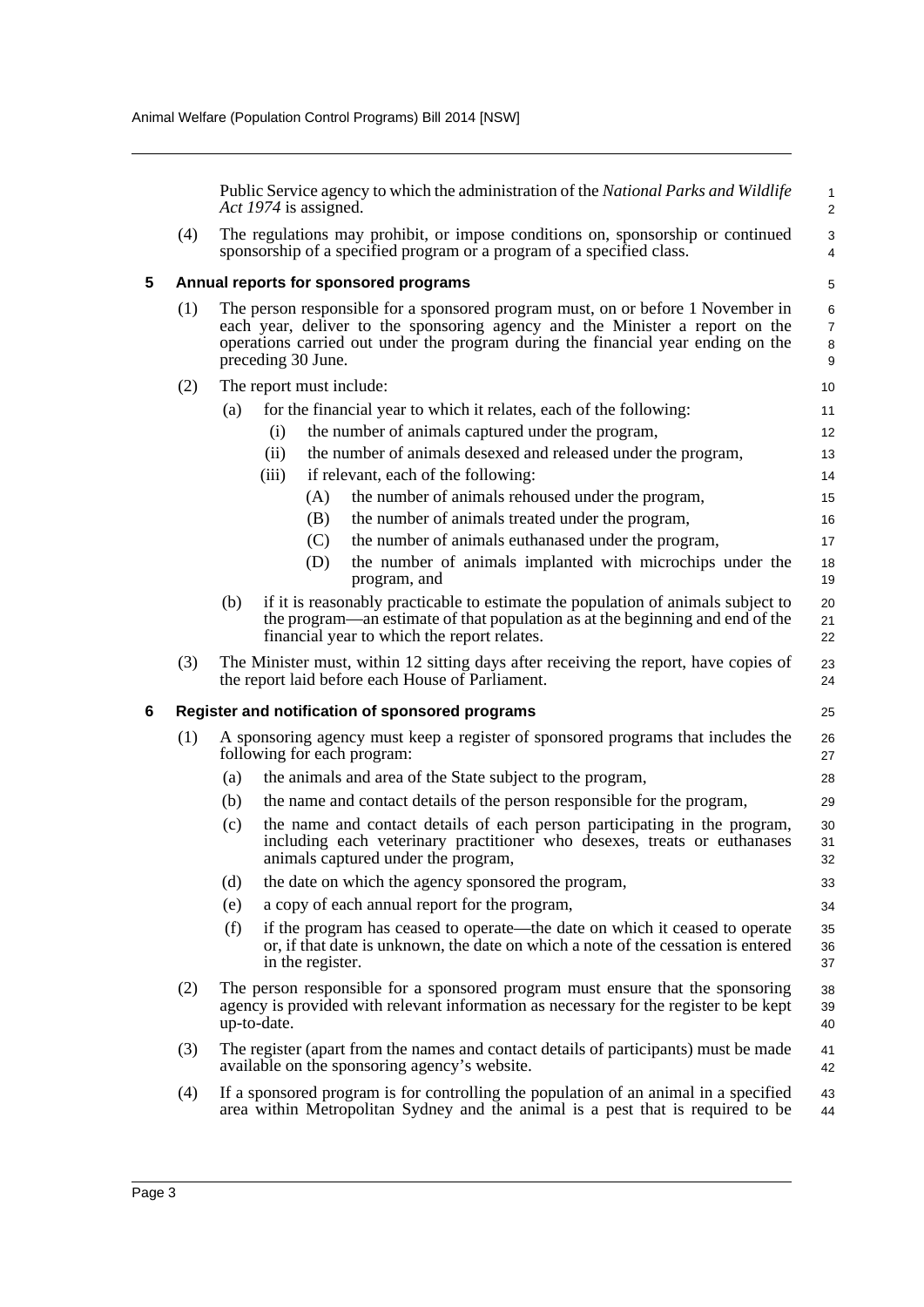<span id="page-6-1"></span><span id="page-6-0"></span>

|   |     | Public Service agency to which the administration of the <i>National Parks and Wildlife</i><br>Act 1974 is assigned.                                                                                                                                                      | 1<br>$\overline{c}$ |  |  |
|---|-----|---------------------------------------------------------------------------------------------------------------------------------------------------------------------------------------------------------------------------------------------------------------------------|---------------------|--|--|
|   | (4) | The regulations may prohibit, or impose conditions on, sponsorship or continued<br>sponsorship of a specified program or a program of a specified class.                                                                                                                  | 3<br>4              |  |  |
| 5 |     | Annual reports for sponsored programs                                                                                                                                                                                                                                     | 5                   |  |  |
|   | (1) | The person responsible for a sponsored program must, on or before 1 November in<br>each year, deliver to the sponsoring agency and the Minister a report on the<br>operations carried out under the program during the financial year ending on the<br>preceding 30 June. |                     |  |  |
|   | (2) | The report must include:                                                                                                                                                                                                                                                  | 10                  |  |  |
|   |     | for the financial year to which it relates, each of the following:<br>(a)                                                                                                                                                                                                 | 11                  |  |  |
|   |     | the number of animals captured under the program,<br>(i)                                                                                                                                                                                                                  | 12                  |  |  |
|   |     | the number of animals desexed and released under the program,<br>(ii)                                                                                                                                                                                                     | 13                  |  |  |
|   |     | if relevant, each of the following:<br>(iii)                                                                                                                                                                                                                              | 14                  |  |  |
|   |     | the number of animals rehoused under the program,<br>(A)                                                                                                                                                                                                                  | 15                  |  |  |
|   |     | the number of animals treated under the program,<br>(B)                                                                                                                                                                                                                   | 16                  |  |  |
|   |     | the number of animals euthanased under the program,<br>(C)                                                                                                                                                                                                                | 17                  |  |  |
|   |     | the number of animals implanted with microchips under the<br>(D)<br>program, and                                                                                                                                                                                          | 18<br>19            |  |  |
|   |     | if it is reasonably practicable to estimate the population of animals subject to<br>(b)<br>the program—an estimate of that population as at the beginning and end of the<br>financial year to which the report relates.                                                   | 20<br>21<br>22      |  |  |
|   | (3) | The Minister must, within 12 sitting days after receiving the report, have copies of<br>the report laid before each House of Parliament.                                                                                                                                  | 23<br>24            |  |  |
| 6 |     | Register and notification of sponsored programs                                                                                                                                                                                                                           | 25                  |  |  |
|   | (1) | A sponsoring agency must keep a register of sponsored programs that includes the<br>following for each program:                                                                                                                                                           | 26<br>27            |  |  |
|   |     | the animals and area of the State subject to the program,<br>(a)                                                                                                                                                                                                          | 28                  |  |  |
|   |     | the name and contact details of the person responsible for the program,<br>(b)                                                                                                                                                                                            | 29                  |  |  |
|   |     | the name and contact details of each person participating in the program,<br>(c)<br>including each veterinary practitioner who desexes, treats or euthanases<br>animals captured under the program,                                                                       | 30<br>31<br>32      |  |  |
|   |     | (d)<br>the date on which the agency sponsored the program,                                                                                                                                                                                                                | 33                  |  |  |
|   |     | a copy of each annual report for the program,<br>(e)                                                                                                                                                                                                                      | 34                  |  |  |
|   |     | (f)<br>if the program has ceased to operate—the date on which it ceased to operate<br>or, if that date is unknown, the date on which a note of the cessation is entered<br>in the register.                                                                               | 35<br>36<br>37      |  |  |
|   | (2) | The person responsible for a sponsored program must ensure that the sponsoring<br>agency is provided with relevant information as necessary for the register to be kept<br>up-to-date.                                                                                    | 38<br>39<br>40      |  |  |
|   | (3) | The register (apart from the names and contact details of participants) must be made<br>available on the sponsoring agency's website.                                                                                                                                     | 41<br>42            |  |  |
|   | (4) | If a sponsored program is for controlling the population of an animal in a specified<br>area within Metropolitan Sydney and the animal is a pest that is required to be                                                                                                   | 43<br>44            |  |  |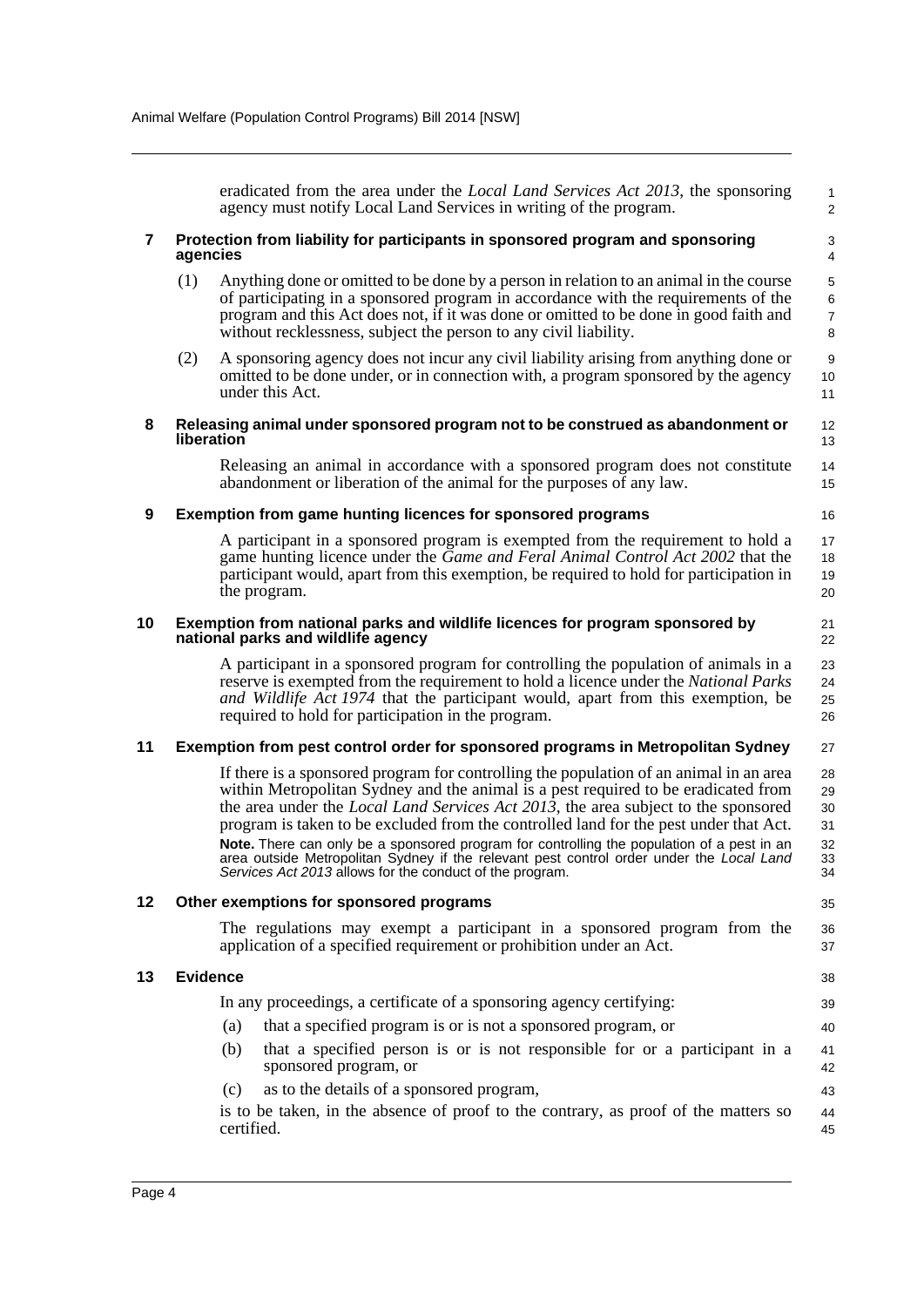eradicated from the area under the *Local Land Services Act 2013*, the sponsoring agency must notify Local Land Services in writing of the program.

1 2

21 22

35

38 39 40

43

### <span id="page-7-0"></span>**7 Protection from liability for participants in sponsored program and sponsoring agencies**

- (1) Anything done or omitted to be done by a person in relation to an animal in the course of participating in a sponsored program in accordance with the requirements of the program and this Act does not, if it was done or omitted to be done in good faith and without recklessness, subject the person to any civil liability.
- (2) A sponsoring agency does not incur any civil liability arising from anything done or omitted to be done under, or in connection with, a program sponsored by the agency under this Act.
- <span id="page-7-1"></span>**8 Releasing animal under sponsored program not to be construed as abandonment or liberation**

Releasing an animal in accordance with a sponsored program does not constitute abandonment or liberation of the animal for the purposes of any law.

### <span id="page-7-2"></span>**9 Exemption from game hunting licences for sponsored programs**

A participant in a sponsored program is exempted from the requirement to hold a game hunting licence under the *Game and Feral Animal Control Act 2002* that the participant would, apart from this exemption, be required to hold for participation in the program.

### <span id="page-7-3"></span>**10 Exemption from national parks and wildlife licences for program sponsored by national parks and wildlife agency**

A participant in a sponsored program for controlling the population of animals in a reserve is exempted from the requirement to hold a licence under the *National Parks and Wildlife Act 1974* that the participant would, apart from this exemption, be required to hold for participation in the program. 23  $24$ 25 26

#### <span id="page-7-4"></span>**11 Exemption from pest control order for sponsored programs in Metropolitan Sydney** 27

If there is a sponsored program for controlling the population of an animal in an area within Metropolitan Sydney and the animal is a pest required to be eradicated from the area under the *Local Land Services Act 2013*, the area subject to the sponsored program is taken to be excluded from the controlled land for the pest under that Act. **Note.** There can only be a sponsored program for controlling the population of a pest in an area outside Metropolitan Sydney if the relevant pest control order under the *Local Land Services Act 2013* allows for the conduct of the program. 28 29 30 31 32 33 34

### <span id="page-7-5"></span>**12 Other exemptions for sponsored programs**

The regulations may exempt a participant in a sponsored program from the application of a specified requirement or prohibition under an Act. 36 37

### <span id="page-7-6"></span>**13 Evidence**

In any proceedings, a certificate of a sponsoring agency certifying: (a) that a specified program is or is not a sponsored program, or

- (b) that a specified person is or is not responsible for or a participant in a sponsored program, or 41 42
- (c) as to the details of a sponsored program,

is to be taken, in the absence of proof to the contrary, as proof of the matters so certified. 44 45